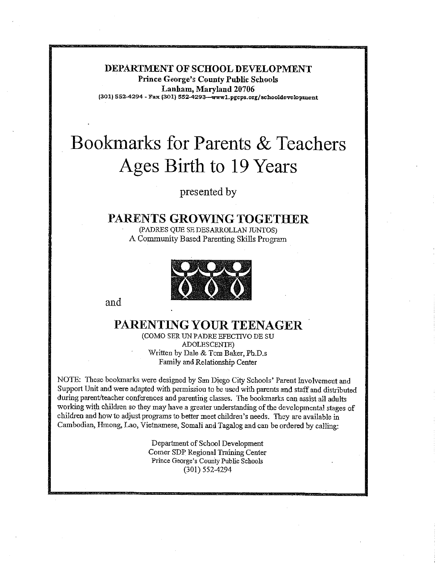**DEPARTMENT OF SCHOOL DEVELOPMENT Prince George's County Public Schools Lanham, Maryland 20706 [301) 552~294 - Fax (301} 552-4293---wwwLpgcps.org/schooldevelopment**

## **Bookmarks for Parents & Teachers Ages Birth to 19 Years**

**presented by**

#### **PARENTS GROWING TOGETHER**

(PADRES QUE SE DESARROLLAN JUNTOS) A Community Based Parenting Skills Program



**and**

#### **PARENTING YOUR TEENAGER**

(COMO SER UN PADRE EFECTIVO DE SU ADOLESCENTE) Written by Dale & Tom Baker, Ph.D.s Family and Relationship Center

NOTE: These bookmarks were designed by San Diego City Schools' Parent Involvement and Support Unit and were adapted with permission to be used with parents and staff and distributed during parent/teacher conferences and parenting classes. The bookmarks can assist all adults working with children so they may have a greater understanding of the developmental stages of children and how to adjust programs to better meet children's needs. They are available in Cambodian, Hmong, Lao, Vietnamese, Somali and Tagalog and can be ordered by calling:

> Department of School Development Comer SDP Regional Training Center Prince George's County Public Schools (301) 5524294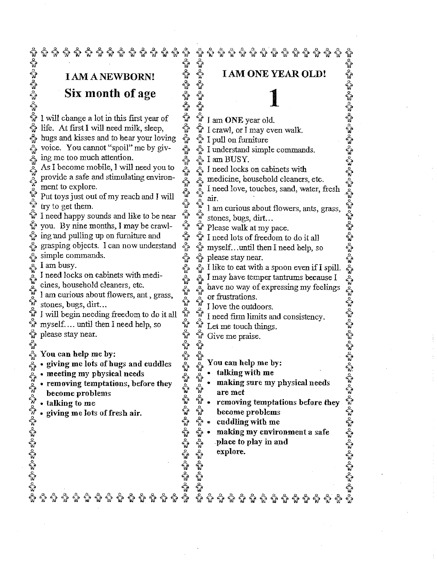**I AM A NEWBORN: Six month of age**

ชื

្ត<br>បិ I will change a lot in this first year of ಕ್ರೆಂಪ್ರೆಂ life. At first I will need milk, sleep, hugs and kisses and to hear your loving  $\frac{6}{10}$  voice. You cannot "spoil" me by giv-<br>  $\frac{6}{10}$  and ment to much attention.<br>  $\frac{6}{10}$  As I become mobile, 1 will need you to<br>
provide a safe and stimulating environ-<br>  $\frac{6}{10}$  Put toys just out of my reach voice. You cannot "spoil" me by giv- $\frac{6}{4}$ ing me too much attention. مربع مراجع مركة As I become mobile, I will need you to  $\epsilon$ o $\epsilon$ po If  $\hat{w}$  and I will  $\hat{w}$ <br>  $\hat{w}$  and I will  $\hat{w}$ <br>  $\hat{w}$  if ty to get them.<br>  $\hat{w}$  I need happy sounds and like to be near  $\hat{w}$ <br>  $\hat{w}$  you. By nine months, I may be crawl-Put toys just ont of my reach and I witl air. try to get them. ဂူ you. By nine months, I may be crawl- $\frac{2}{W}$  ing and pulling up on furniture and ಕ್ರಂ ಕ್ರಂ ಕ್ರಂ ಕ್ರಂ ಕ್ರಂ grasping objects. I can now understand simple commands. I am busy. I need locks on cabinets with medicines, household cleaners, etc. ಲಿಲ್ I am curious about flowers, ant, grass, ុំ stones, bugs, dirt... I will begin needing freedom to do it all  $\hat{w}$ <br>
myself.... until then I need help, so  $\hat{w}$ <br>
please stay near.  $\hat{w}$ <br>
You can help me by:<br>
• giving me lots of hugs and cuddles<br>
• meeting my physical needs<br>
• removi ิ์พิ  $\epsilon$   $\mathbf{e}^{\mathbf{e}}$ myself..., until then I need help, so  $\epsilon_0^2$ o  $\epsilon_0^2$ o  $\epsilon_0^2$ o please stay near. **You can help me by: o giving me lots of hugs and cuddles** .<br>ชิ  **meeting my physical needs** ทิ **removing temptations, before they** ᡩ **become problems** ŵ **talking to me** ဂ္စိ **giving me lots of fresh air.** ี ∙ิ ಕ್ಕಿಂ ಕ್ರಂ ಕ್ರಂ ಕ್ರಂ ಕ್ರಂ ಕ್ರಂ

**I AM ONE YEAR OLD!** 

 $\bf{\hat{w}}$  କ କ କ କ କ କ କ କ କ କ କ କ

 $\overline{\hat{\Psi}}$  I am ONE year old.

 $\hat{\mathbb{V}}$  I crawl, or I may even walk.

 $\hat{w}$  I pull on furniture

ಪ್ರೇ ಪೋಪ್ರೇ ಪೂ

 $\hat{P}$  I understand simple commands.

 $\frac{8}{M}$  I am BUSY.

 $\sum_{i=1}^{n}$  I need locks on cabinets with

 $\sum_{i=1}^{\infty}$  medicine, household cleaners, etc.

I need love, touches, sand, water, fresh

I am curious about flowers, ants, grass, stones, bugs, dirt...

 $\hat{\mathbb{F}}$  Please walk at my pace.

 $\mathbb{\hat{V}}$  I need lots of freedom to do it all

 $\hat{\mathbb{D}}$  myself...until then I need help, so  $\frac{8}{W}$  please stay near.

 $\frac{1}{40}$  I like to eat with a spoon even if I spill.  $\frac{1}{40}$  I may have temper tantrums because I  $\ddot{e}$  have no way of expressing my feelings or frustrations.

I love the outdoors.

I need furm limits and consistency.

Let me touch things.

Give me praise.

**You can help me by:**

**talking with me**

**making sure my physical needs are met**

**o removing temptations before they become problems**

**\* cuddling with me**

**making my environment a safe place to play in and explore.**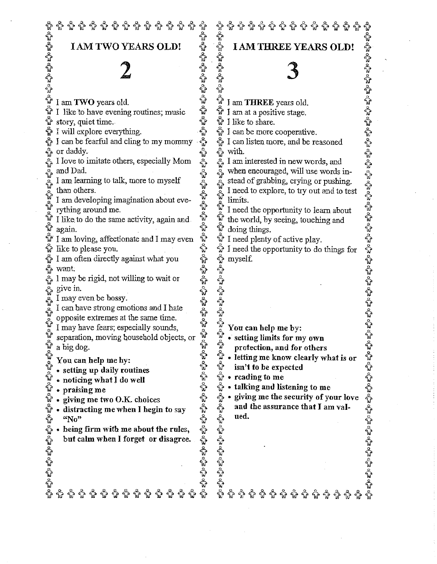#### **IAM TWO YEARS OLD!**

ಫ್ರೊ ಪ್ರೊ ಪ್ರೊ ಪೂ ಪೂ ಪೂ ಪು  $\hat{\varphi} \circ \hat{\varphi} \circ \hat{\varphi} \circ \hat{\varphi} \circ \hat{\varphi} \circ \hat{\varphi} \circ \hat{\varphi} \circ \hat{\varphi} \circ \hat{\varphi} \circ \hat{\varphi} \circ \hat{\varphi} \circ \hat{\varphi} \circ \hat{\varphi} \circ \hat{\varphi} \circ \hat{\varphi} \circ \hat{\varphi} \circ \hat{\varphi} \circ \hat{\varphi} \circ \hat{\varphi} \circ \hat{\varphi} \circ \hat{\varphi} \circ \hat{\varphi} \circ \hat{\varphi} \circ \hat{\varphi} \circ \hat{\varphi} \circ \hat{\varphi} \circ \hat{\varphi} \circ \hat{\var$ **2** I am TWO years old.  $\tilde{\mathbb{W}}$  I like to have evening routines; music  $\hat{w}$  story, quiet time.  $\hat{V}$  I will explore everything.  $\frac{1}{10}$  I can be fearful and cling to my mommy **or daddy.** I love to imitate others, especially Mom **and Dad.** I am learning to talk, more to myself than others. I am developing imagination about everything around me. I like. to do the same activity, again and ิชิ again. I am loving, affectionate and I may even  $\hat{W}$  like to please you.  $\stackrel{\circ}{\mathbb{D}}$  I am often directly against what you ှု want. 1 may be rigid, not willing to wait or give in. I may even be bossy.  $\frac{8}{9}$ I can bave strong emotions and I hate opposite extremes at the same time. I may have fears; especially sounds, E o E o E o a big dog. **Yon can help me by:** setting up daily routines ಀಲ್ಲಿ **noticing what** ! do well  $\tilde{\mathbb{F}}$ **praising me** พิ . giving me two O.IC choices ° distracting **me when** I begin to say ି⊮ **"No"** కృంకృంకృంకృంకృం **° being firm with me about the rules, but calm when I forget or disagree.**

#### **IAM THREE YEARS OLD!**

 $\mathfrak{g}$   $\mathfrak{g}$   $\mathfrak{g}$   $\mathfrak{g}$   $\mathfrak{g}$   $\mathfrak{g}$   $\mathfrak{g}$   $\mathfrak{g}$   $\mathfrak{g}$   $\mathfrak{g}$   $\mathfrak{g}$   $\mathfrak{g}$   $\mathfrak{g}$   $\mathfrak{g}$   $\mathfrak{g}$   $\mathfrak{g}$ 

**3**

 $\hat{\mathbb{Y}}$ I am TItREE years old.

 $\hat{\mathbb{V}}$  I am at a positive stage.

 $\hat{w}$  I like to share.

しゅうきゅうきゅう

 $\hat{W}$  I can be more cooperative.

 $\frac{1}{W}$  I can listen more, and be reasoned

 $\frac{3}{10}$  with.<br>I am interested in new words, and

when encouraged, will use words in-  $\frac{1}{w}$  when encouraged, will use words in-<br>the stead of grabbing, crying or pushing. I need to explore, to try out and to test 

I need the opportunity to learn about ทิ the world, by seeing, touching and ଜ doing things.

 $\stackrel{\leftrightarrow}{\text{W}}$  I need plenty of active play.

 $\hat{W}$  I need the opportunity to do things for

**You can help me by:**

 $\mathbf{\hat{w}}$  l need the myself.<br>  $\mathbf{\hat{w}}$  myself.<br>  $\mathbf{\hat{w}}$  myself.<br>  $\mathbf{\hat{w}}$  myself.<br>  $\mathbf{\hat{w}}$  myself.<br>  $\mathbf{\hat{w}}$  myself.<br>  $\mathbf{\hat{w}}$  myself. **setting limits for my own protection, and for others** ֧֟<sup>֚</sup>֩

 $\hat{\mathbb{Q}}$ **isn't to be expected**

ŵ **o reading to me**

**talking and listening to me**

 $\tilde{\mathbb{P}}$  giving **me the security of your** love ಲ್ಲಿ ಲಿಂ ಲಿಂ ಲಿಂ ಲಿಂ ಲಿಂ ಲಿಂ ಲಿಂ **and the assurance that I am valued.**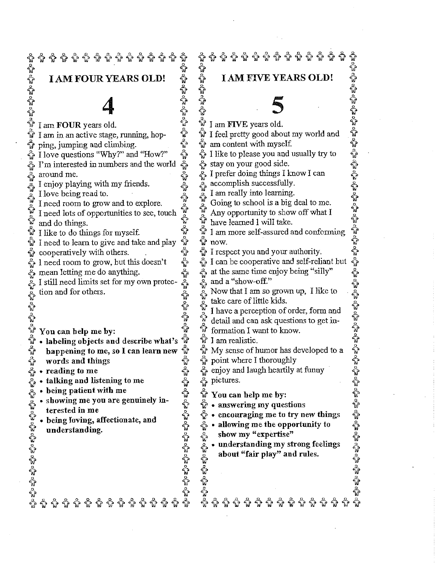\* \* \* \* \* \* \* \* \* \* \* \* \*  $\bf{\hat{w}}$   $\bf{\hat{w}}$   $\bf{\hat{w}}$   $\bf{\hat{w}}$   $\bf{\hat{w}}$   $\bf{\hat{w}}$   $\bf{\hat{w}}$   $\bf{\hat{w}}$   $\bf{\hat{w}}$   $\bf{\hat{w}}$ ಕ್ರಂಕ್ರಂಕ್ರಂಕ್ರಂಕ್ರಂಕ್ರ  $\frac{A}{A} \stackrel{\leftrightarrow}{Q} \stackrel{\leftrightarrow}{Q} \stackrel{\leftrightarrow}{Q} \stackrel{\leftrightarrow}{Q} \stackrel{\leftrightarrow}{Q} \stackrel{\leftrightarrow}{Q} \stackrel{\leftrightarrow}{Q} \stackrel{\leftrightarrow}{Q} \stackrel{\leftrightarrow}{Q} \stackrel{\leftrightarrow}{Q} \stackrel{\leftrightarrow}{Q} \stackrel{\leftrightarrow}{Q} \stackrel{\leftrightarrow}{Q} \stackrel{\leftrightarrow}{Q} \stackrel{\leftrightarrow}{Q} \stackrel{\leftrightarrow}{Q} \stackrel{\leftrightarrow}{Q} \stackrel{\leftrightarrow}{Q} \stackrel{\leftrightarrow}{Q} \stackrel{\leftrightarrow}{Q} \stackrel{\leftrightarrow}{Q} \stackrel{\leftrightarrow}{Q} \stackrel{\leftrightarrow}{Q} \stackrel{\leftrightarrow}{Q} \stackrel{\leftrightarrow}{Q} \stackrel{\leftrightarrow}{Q} \stackrel{\leftrightarrow$ ಪ್ರೇ ಪೋಪೋಪ್ಯೇ ಪ್ರ ิ์พิ **I AM FIVE YEARS OLD! I AM FOUR YEARS OLD! 4** न की व्<br>ज ୢୄୖ I am FOUR years old.  $\stackrel{\circ}{\mathbb{W}}$  I am in an active stage, running, hop- $\hat{w}$  ping, jumping and climbing.  $\frac{1}{10}$  I love questions "Why?" and "How?" around me. I enjoy playing with my friends. ทิ I love being read to. ผู้ I need room to grow and to explore. ที่ I need lots of opportunities to see, touch  $\hat{\mathbb{F}}$ ᠷ and do things.  $\tilde{\mathbb{W}}$  I like to do things for myself. **now.**  $\tilde{\mathbb{V}}$  I need to learn to give and take and play  $\phi$  cooperatively with others.  $\frac{3}{40}$  l need room to grow, but this doesn't mean letting me do anything. ಲ್ಲಿಂ ಪ್ರಂಪ್ರಂಪ್ರಂಪ್ರಂಪ್ರಿ I still need limits set for my own protection and for others. ୢୄୖ **You can help me by: o labeling objects and describe what's** కృంకృంకృంకృంకృంకృంకృంకృంకృంకృంకృంకృంకృ **happening to me, so I can learn new words and things o reading to me " talking and listening to me** ทิ pictures.  **being patient with me** ဂှို **showing me you are genuinely in-**ଳି **terested in me** ଳି **o being loving, affectionate, and**  $\frac{6}{11}$ **understanding.**  $\sum_{i=1}^{n}$ ಲ್ಲಿ ಲಿಂ ಲಿಂ ಲಿಂ ಲಿಂ ಲಿಂ

I am FIVE years old.  $\hat{\mathbb{V}}$  I feel pretty good about my world and  $\hat{w}$  am content with myself.  $\frac{1}{W}$  I like to please you and usually try to  $\frac{6}{10}$  stay on your good side.  $\overline{\mathbb{Q}}$  I prefer doing things I know I can accomplish successfully. I am really into learning. Going to school is a big deal to me. Any opportunity to show off what I have leamed I will take.  $\overset{\circ}{\mathbf{\pi}}$  I am more self-assured and conforming  $\hat{W}$  I respect you and your authority.  $\frac{5}{9}$  or  $\frac{5}{9}$  or  $\frac{5}{9}$  or  $\frac{5}{9}$  or  $\frac{5}{9}$  or  $\frac{5}{9}$  or  $\frac{5}{9}$  or  $\frac{5}{9}$  or  $\frac{5}{9}$  or  $\frac{5}{9}$  or  $\frac{5}{9}$  or  $\frac{5}{9}$  or  $\frac{5}{9}$  or  $\frac{5}{9}$  or  $\frac{5}{9}$  or  $\frac{5}{9}$  or  $\frac{5}{9}$  or at the same time enjoy being "silly" and a "show-off." Now that I am so grown up, I like to take care of little kids. I have a perception of order, form and detail and can ask questions to get information I want to know.  $\hat{W}$  I am realistic.  $\hat{W}$  My sense of humor has developed to a point where I thoroughly  $\frac{1}{w}$  enjoy and laugh heartily at funny **You can help me by: answering my questions encouraging me to try new things allowing me the opportunity to show my "expertise" understanding my strong feelings about "fair play" and rules.**

 $\mathfrak{g}$   $\mathfrak{g}$   $\mathfrak{g}$   $\mathfrak{g}$   $\mathfrak{g}$   $\mathfrak{g}$   $\mathfrak{g}$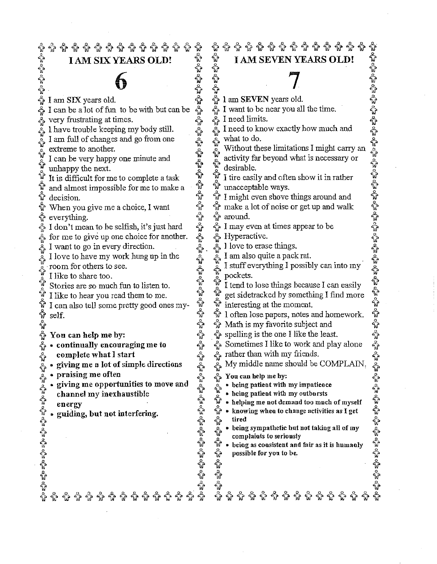$\frac{\partial}{\partial x} \frac{\partial}{\partial y} \frac{\partial}{\partial x} \frac{\partial}{\partial y} \frac{\partial}{\partial y} \frac{\partial}{\partial y} \frac{\partial}{\partial y} \frac{\partial}{\partial y} \frac{\partial}{\partial y} \frac{\partial}{\partial y} \frac{\partial}{\partial y} \frac{\partial}{\partial y} \frac{\partial}{\partial y} \frac{\partial}{\partial y} \frac{\partial}{\partial y} \frac{\partial}{\partial y} \frac{\partial}{\partial y} \frac{\partial}{\partial y} \frac{\partial}{\partial y} \frac{\partial}{\partial y} \frac{\partial}{\partial y} \frac{\partial}{\partial y} \frac{\partial}{\partial y} \frac{\partial}{\partial y} \frac{\partial$ ଦି ଦି ଦି ଦି ଦି ଦି ଦି ଦି ଦି ଦି ଦି ଦି ଦି ୢୄୖ୷ ಲಿಂ ಲಿಂ ಲಿಂ ಲಿಂ  $\Xi_{\!\!p}^0\in\hspace{-2pt}\mathbb{P}^1_{\!\!p}$ I AM SIX YEARS OLD!  $\frac{1}{2}$ I am SIX\_ years old.

- very frustrating at times.
- 
- I have trouble keeping my body still.  $\frac{6}{10}$ I am full of changes and go from one
- $\frac{6}{10}$ extreme to another.
- $\hat{\mathbb{F}}$  I can be very happy one minute and  $\hat{\mathbb{F}}$  unhappy the next.
- นี It is difficult for me to complete a task
- ทิ and almost impossible for me to make a  $\hat{\mathbb{V}}$  decision. When you give me a choice, I want
- $\tilde{w}$  everything.
- $\frac{1}{10}$  I don't mean to be selfish, it's just hard
- for me to give up one choice for another.
- $\frac{1}{\omega}$  I want to go in every direction.
- I love to have my work hung up in the ฉิ
- room for others to see. ျိ
- I like to share too. ินิ
	- Stories are so much fun to listen to.
- ิ์พิ I like to hear you read them to me.
- พิ I can also tell some pretty good ones my- $\hat{\mathbb{V}}$  self. ଳ
- **You can help me by:**
- จิ **o continually encouraging me to** ភ្នំ **complete what I start**
	- **° giving me a lot of simple directions**
	- **praising me often**
- **. giving me opportunities to move and channel my inexhaustible energy**

ฉิ ฉิ

**- guiding, but not interfering.**

କ କ କ କ କ କ କ କ କ କ କ **I AM SEVEN YEARS OLD!**

 $\hat{W}$  1 am SEVEN years old.

 $\frac{e}{w}$  I want to be near you all the time.

 $\frac{1}{M}$  I need limits.

- $\sum_{i=1}^{n}$  I need to know exactly how much and what to do. ଳି
- **I AM SEVEN YEARS OLD!**<br> **Example 2**<br> **Example 2**<br> **Example 2**<br> **Example 2**<br> **I** am SEVEN years old.<br>
I need timits.<br>
I need timits.<br>
I need to know exactly how much and<br>
what to do.<br>
Without these limitations I might car Without these limitations I might carry an ဂ္စိ activity far beyond what is necessary or desirable.
- I tire easily and often show it in rather  $\hat{W}$  unacceptable ways.
- $\mathbb{\hat{W}}$  I might even shove things around and
	- $\hat{W}$  make a lot of noise or get up and walk **aroma.**
	- $\frac{6}{10}$  I may even at times appear to be
	- $\frac{6}{10}$  Hyperactive.
	- $\frac{1}{W}$  I love to erase things.
	- ት
	- I stuff everything I possibly can into my  $\frac{6}{M}$ pockets. ทิ
	- I tend to lose things because I can easily Å get sidetracked by something I find more
	- $\hat{w}$  interesting at the moment.
	- $\hat{W}$  1 often lose papers, notes and homework.<br>  $\hat{W}$  Math is my favorite subject and
	-
	- $\hat{\Phi}$  spelling is the one I like the least.
	- $\frac{1}{W}$  Sometimes I like to work and play alone rather than with my friends.  $\frac{6}{M}$
	- $\frac{8}{10}$ My middle name should be COMPLAIN,

ក្លិ You can **help me by:**

ทิ

- **being patient with my impatience**
- 
- **b being patient with my outbursts**<br> *W* **belping me not demand too much of myself**
- ิ์พิ • knowing when to change activities as I get **tired**
- **a being sympathetic but not taking all of my**<br> **complaints to seriously**<br> **b being as coasistent and fair as it is humant**<br>  $\hat{\mathbf{w}}$  **b being as coasistent and fair as it is humant**<br>  $\hat{\mathbf{w}}$  **possible for you complaints to seriously**
	- **~. being as consistent and fair as it is hnmanly possible for you to be.**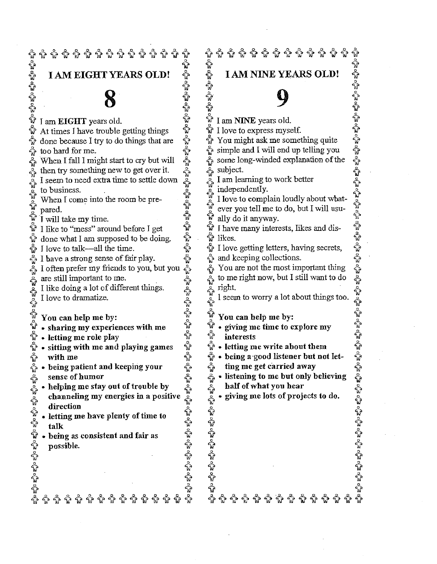<u>କି କି କି କି କି କି କି କି </u> କ କ କ କ କ କ କ କ କ କ କ ที ชื่ ಪ್ರೇ ಪ್ರೇ ಪ್ರೇ ಪೂ ಪೂ ಪೂ طأه فتأه فتأه I AM EIGHT YEARS OLD! **8** I am EIGHT years old. ប៉ូ At times I have trouble getting things งิ done because I try to do things that are ဂူ too hard for me. ဂူ ᡥ When I fall I might start to cry but will କୃ then try something new to get over it. ทิ I seem to need extra time to settle down ಕ್ರಂ ಕ್ರಂ ಕ್ರಂ ಕ್ರಂ ಕ್ರಂ to business. When I come into the room be prepared. I will take my time. I like to "mess" around before I get done what I am supposed to be doing. I love to talk--all the time. I have a strong sense of falr play.  $\mathbb{E}^{\mathsf{S} \circ \mathsf{g}}$  $\frac{5}{M}$ I often prefer my friends to you, but you จ้ ಪ್ರೇಪ್ರೇಪ್ರೇಪ್ರ are still important to me.  $\epsilon_{\rm ph}^{\rm log}$ right. I like doing a lot of different things. I love to dramatize. ิ์พิ **Yon can help me by:** ៵៓៝៰៓ o sharing **my experiences with me**  $\frac{5}{4}$ letting **me role play** ក្លិ ୢୖ୷ ° sitting with **me and playing games** ଳି **with me** ° **being patient and** keeping your ซิ  $\frac{5}{4}$ క్త్రీం జృం జృం జృం జృం జృం కృం బృం జృం జృం  $E_0^{\circ}$ o $E_0^{\circ}$ **sense of humor o helping me stay out of trouble by channeling my energies** in a **positive** භූං භූං භූං භූං භූං භූං භූං භූං භූං **direction** ° letting **me have plenty of time to talk** o **being as consistent and fair as possible.**

I AM NINE YEARS OLD!<br>  $\hat{W}$ <br>
I am NINE years old.<br>
I love to express myself.<br>
You might ask me something quite<br>
simple and I will end up telling you<br>
some long-winded explanation of the<br>
subject.<br>
I am learning to work **I AM NINE YEARS OLD!** I am NINE years old.  $\hat{W}$  I love to express myself.  $\hat{\mathbb{Y}}$  You might ask me something quite  $\frac{c}{W}$  simple and I will end up telling you some long-winded explanation of the subject.  $\int_{\alpha}^{\infty}$  I am learning to work better independently. ever you tell me to do, but I will usually do it anyway.  $\hat{\mathbb{W}}$  I have many interests, likes and dis-<br> $\hat{\mathbb{W}}$  likes.  $\frac{1}{W}$  I love getting letters, having secrets,  $\frac{1}{W}$  and keeping collections. You are not the most important thing to me right now, but I still want to do I seem to worry a lot about things too. **You can help me by:**  $\hat{\vec{w}}$  • giving me time to explore my **interests letting me write about them**  $\frac{\circ}{W}$  • being a good listener but not letring **me get carried away " listening to me but only befieving half of what you hear giving me lots of projects to do.**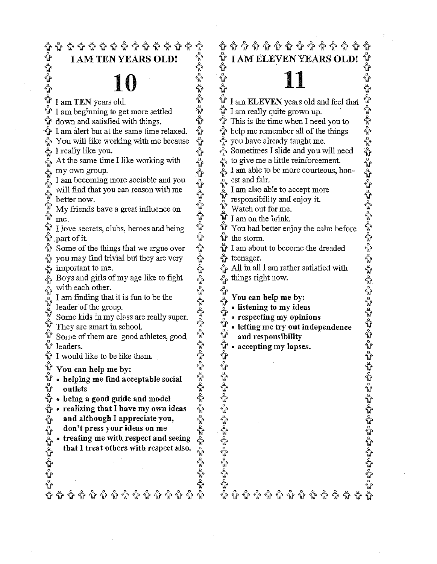<u> କି କି କି କି କି କି କି କି କି କି କ</u> ☆ ☆ ☆ ☆ ☆ ☆ ☆ ☆ ☆ ☆ ☆ ☆ କ ₩ t) the the the the the ည်း ကြောင်းပြင်း ပြင်းပြင်း ပြင်း ပြင်းပြင်း ပြင်း ပြင်း ပြင်း ပြင်း ပြင်း ပြင်း ပြင်း ပြင်း ပြင်း ပြင်း ပြင်း ಲಿಂಪೊರ್ I AM ELEVEN YEARS OLD!<br>  $\begin{array}{cc}\n\mathbf{\hat{w}}\n\end{array}$ <br>
I am ELEVEN years old and feel that<br>  $\begin{array}{cc}\n\mathbf{\hat{w}}\n\end{array}$ <br>
I am really quite grown up.<br>
Thus is the time when I need you to<br>
belp me remember all of the things<br>
you 1 AM TEN YEARS OLD! **10** କ ที I am TEN years old. I am ELEVEN years old and feel that  $\hat{\mathbb{V}}$  I am beginning to get more settled  $\stackrel{\circ}{\mathbb{W}}$  I am really quite grown up.  $\hat{w}$  This is the time when I need you to  $\hat{W}$  down and satisfied with things.  $\hat{\mathbb{V}}$  I am alert but at the same time relaxed.  $\hat{\mathbb{D}}$  belp me remember all of the things  $\frac{1}{W}$  you have already taught me.  $\hat{\mathbb{Q}}$  You will like working with me because  $\frac{8}{W}$  I really like you. Sometimes I slide and you will need At the same time I like working with  $\ddot{\theta}$  to give me a little reinforcement. I am able to be more courteous, honmy own group. နူ I am becoming more sociable and you est and fair. will find that you can reason with me I am also able to accept more responsibility and enjoy it. better now. นิ My friends have a great influence on Watch out for me. ᆎ I am on the brink. me.  $\stackrel{\triangle}{\mathbf{w}}$  I love secrets, clubs, heroes and being ิ์พิ You had better enjoy the calm before the storm.  $\tilde{w}$  part of it.  $\tilde{\mathbb{Q}}$  Some of the things that we argue over  $\hat{\mathbb{Q}}$  I am about to become the dreaded  $\frac{8}{W}$  teenager.  $\hat{\Phi}$  you may find trivial but they are very  $\frac{5}{10}$  $\frac{6}{90}$  important to me. All in all I am rather satisfied with ដ្ឋិត Boys and girls of my age like to fight things right now. with each other.  $E_0^0 \circ E_0^0 \circ E_0^1 \circ E_0^1 \circ E_0^1 \circ E_0^1 \circ$ I am finding that it is fun to be the **You can help me** by: **listening to my ideas** leader of the group.  $\frac{a}{M}$ Some kids in my class are really super. respecting my opinions  $\hat{\mathbb{F}}$ They are smart in school. letting me try **out independence** ୍ଲି Some of them are good athletes, good and responsibility  $\hat{w}$  leaders. . accepting my **lapses.**ಕೋಪೋಶ್ರೀ ಪೋಶ್ರೀ ಪೋಶ್ರೀ ಪೊಶ್ರೇ ಪೂರ್ವೊ  $\hat{\mathbb{V}}$  I would like to be like them.  $\tilde{E}_p^0$ o $\tilde{E}_p^0$ **You can help me** by: • helping me find acceptable social ทิ **outlets** • being a good guide and model **• realizing that I have my own ideas and althongh I appreciate you,** క్సం క్సం క్సం క్సం క్సం క్సం క్సం don't press your ideas on me • treating me with respect and seeing **that I treat others with respect also.**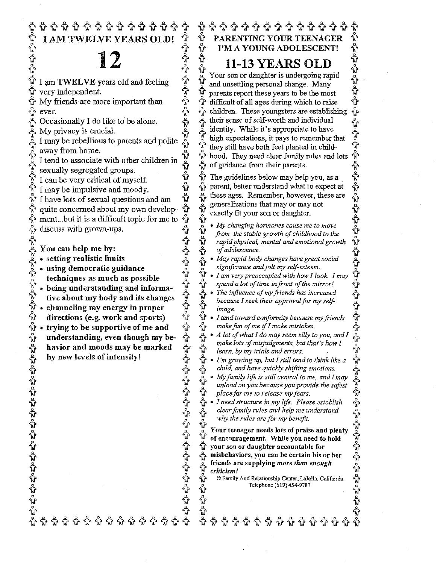# ଳି ଦିବି ଦିବି କି ଦିବି କି କି ଦିବି କି  $\hat{\mathbf{w}}$   $\hat{\mathbf{w}}$   $\hat{\mathbf{w}}$   $\hat{\mathbf{w}}$   $\hat{\mathbf{w}}$   $\hat{\mathbf{w}}$   $\hat{\mathbf{w}}$   $\hat{\mathbf{w}}$   $\hat{\mathbf{w}}$   $\hat{\mathbf{w}}$   $\hat{\mathbf{w}}$   $\hat{\mathbf{w}}$   $\hat{\mathbf{w}}$   $\hat{\mathbf{w}}$   $\hat{\mathbf{w}}$   $\hat{\mathbf{w}}$   $\hat{\mathbf{w}}$   $\hat{\mathbf{w}}$   $\hat{\mathbf{w}}$   $\hat{\mathbf{w}}$

# **12**

- ಕ್ಕೆಂಕ್ಲಂಕ್ಲಂಕ್ಲಂಕ್ಲ I am TWELVE years old and feeling very independent.
- $\hat{W}$  My friends are more important than ಪ್ರೊ ಪೋ ever.
	- Occasionally I do like to be alone.
	- My privacy is crucial.
	- I may be rebellious to parents and polite
- とうきゅう away from home.
	- I tend to associate with other children in
	- sexually segregated groups.
	- I caube very critical of myself.
- นิ I may be impulsive and moody.
- Ť I have lots of sexual questions and am ทิ ᡥ ment...but it is a difficult topic for me to
- ଳ discuss with grown-ups.
	- You can help me by:
	- ° setting realistic limits
- ಲ್ಲಿಂ ಪ್ರೆಂ ಪ್ರೆಂ ಪ್ರೆಂ ಪ್ರೆಂ ಪ್ರಂ ಪ್ರೆಂ ಪ್ರಿಂ ಪ್ರೆಂ ಪ್ರೆಂ ಪ್ರೆಂ ಪ್ರೆಂ ಪ್ರೆಂ ಪ್ರೆಂ ಪ್ರೆಂ ಪ್ರೆಂ ಪ್ರೆಂ ಪ್ರೆಂ ಪ್ರೆಂ ಪ್ರೆಂ ಪ್ರೆಂ ಪ್ರೆಂ ಪ್ರೆಂ using democratic guidance techniques as much as possible
	- , being understanding and informative about my body and its changes
	- **.** channeling my energy in proper directions (e.g. work and sports)
- quite concerned about my own develop-  $\frac{1}{10}$ <br>ment...but it is a difficult topic for me to  $\frac{1}{10}$ <br>discuss with grown-ups.<br>You can help me by:<br><br> $\bullet$  setting realistic limits<br> $\bullet$  using democratic guidance<br>techniques . trying to be supportive of me and understanding, even though my behavior and moods may be marked by new levels of intensity!

କ୍ଷିକ କି କି କି କି କି କି କି କି କି କି I'M A YOUNG ADOLESCENT!

**11-13 YEARS OLD**

思思思思思 **PARENTING YOUR TEENAGER**<br>
I'M A YOUNG ADOLESCENT!<br>  $\hat{W}$ <br>  $\hat{H}$  **11-13 YEARS OLD**<br>
Your son or daughter is undergoing rapid<br>
md unsettling personal change. Many<br>
arents report these years to be the most<br>
difficult of Your son or daughter is undergoing rapid and unsettling personal change. Many ង្ហិ parents report these years to be the most  $\hat{\mathbf{F}}$ difficult of all ages during which to raise 숩 children. These youngsters are establishing their sense of self-worth and individual ଳି identity. While it's appropriate to have นิ high expectations, it pays to remember that  $\hat{\mathbb{F}}$ they still have both feet planted in child-ᡥ hood. They need clear family rules and lots ᡥ of guidance from their parents.

...<br>นิ

ลิ

 $\mathbb{G}^{\mathsf{b}}$ The guidelines below may help you, as a parent, better understand what to expect at  $\frac{8}{3}$ these ages. Remember, however, these are generalizations that may or may not  $\mathbb{E}^0_p \mathbb{E}^0_p$ exactly fit your son or daughter.

- *My changing hormones cause me to move* ا مرگ مرگ<br>ا *from the stable growth of childhood to the rapid physical, mental and emotional growth* ត្តិ *of adolescence.*
- ភូ *May rapid body changes have great social significance and jolt my self-esteem.*
- *1am verypreoecupiedwith howllook. Imay* ୢୄ *spend a lot of time in front of the mirror:*
- ឹ *The influence of my friends has increased because 1 seek their approval for my self-*କି *image.*
- ង្ហិ *I tend toward conformity because my friends*  $\hat{V}$ *make fun of me if I make mistakes,*
- *o A lot of what I do may seem silly to you, and I make lots of misjudgments, but that's how 1* ᡥ *learn, by my trials and errors.*
- *l'm growing up, but 1still tend to think like a child, and have quickly shifting emotions.*
- *My family life is still central to me, andlmay unload on you because you provide the safest* ୢୖ୷ *place for me to release my fears.*
- Ωិ *o Ineedstructure in my life. Please establish clear family rules and help me understand why the rules are for my benefit.*

 $\frac{8}{3}$ 

Your teenager needs lots of praise and plenty of encouragement. While you need to hold ដូំ your son or daughter accountable for  $\frac{8}{M}$ misbehaviors, y9u can be certain his or her friends are supplying *more than enough crlticism!* కింకింకింకింకింకి

© Family And Relatiorship Center, LaJolla, C~iifomia Telephone (619) 454-9787